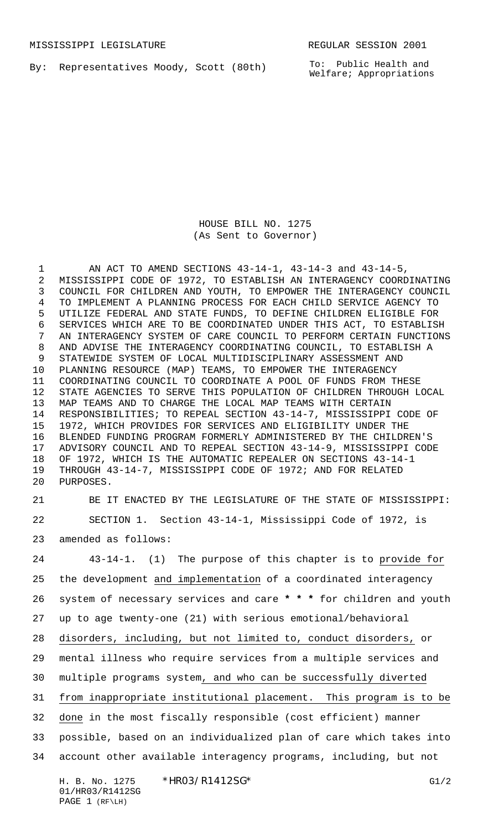By: Representatives Moody, Scott (80th)

To: Public Health and Welfare; Appropriations

HOUSE BILL NO. 1275 (As Sent to Governor)

 AN ACT TO AMEND SECTIONS 43-14-1, 43-14-3 and 43-14-5, MISSISSIPPI CODE OF 1972, TO ESTABLISH AN INTERAGENCY COORDINATING COUNCIL FOR CHILDREN AND YOUTH, TO EMPOWER THE INTERAGENCY COUNCIL TO IMPLEMENT A PLANNING PROCESS FOR EACH CHILD SERVICE AGENCY TO UTILIZE FEDERAL AND STATE FUNDS, TO DEFINE CHILDREN ELIGIBLE FOR SERVICES WHICH ARE TO BE COORDINATED UNDER THIS ACT, TO ESTABLISH AN INTERAGENCY SYSTEM OF CARE COUNCIL TO PERFORM CERTAIN FUNCTIONS AND ADVISE THE INTERAGENCY COORDINATING COUNCIL, TO ESTABLISH A STATEWIDE SYSTEM OF LOCAL MULTIDISCIPLINARY ASSESSMENT AND PLANNING RESOURCE (MAP) TEAMS, TO EMPOWER THE INTERAGENCY COORDINATING COUNCIL TO COORDINATE A POOL OF FUNDS FROM THESE STATE AGENCIES TO SERVE THIS POPULATION OF CHILDREN THROUGH LOCAL MAP TEAMS AND TO CHARGE THE LOCAL MAP TEAMS WITH CERTAIN RESPONSIBILITIES; TO REPEAL SECTION 43-14-7, MISSISSIPPI CODE OF 1972, WHICH PROVIDES FOR SERVICES AND ELIGIBILITY UNDER THE BLENDED FUNDING PROGRAM FORMERLY ADMINISTERED BY THE CHILDREN'S ADVISORY COUNCIL AND TO REPEAL SECTION 43-14-9, MISSISSIPPI CODE OF 1972, WHICH IS THE AUTOMATIC REPEALER ON SECTIONS 43-14-1 THROUGH 43-14-7, MISSISSIPPI CODE OF 1972; AND FOR RELATED PURPOSES.

 BE IT ENACTED BY THE LEGISLATURE OF THE STATE OF MISSISSIPPI: SECTION 1. Section 43-14-1, Mississippi Code of 1972, is amended as follows:

 43-14-1. (1) The purpose of this chapter is to provide for the development and implementation of a coordinated interagency system of necessary services and care **\* \* \*** for children and youth up to age twenty-one (21) with serious emotional/behavioral disorders, including, but not limited to, conduct disorders, or mental illness who require services from a multiple services and multiple programs system, and who can be successfully diverted from inappropriate institutional placement. This program is to be done in the most fiscally responsible (cost efficient) manner possible, based on an individualized plan of care which takes into account other available interagency programs, including, but not

H. B. No. 1275 \* HRO3/R1412SG\* G1/2 01/HR03/R1412SG PAGE 1 (RF\LH)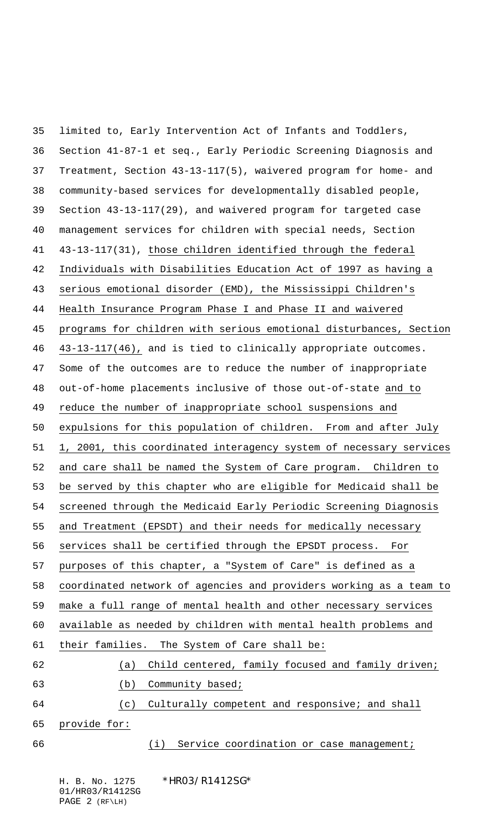limited to, Early Intervention Act of Infants and Toddlers, Section 41-87-1 et seq., Early Periodic Screening Diagnosis and Treatment, Section 43-13-117(5), waivered program for home- and community-based services for developmentally disabled people, Section 43-13-117(29), and waivered program for targeted case management services for children with special needs, Section 43-13-117(31), those children identified through the federal Individuals with Disabilities Education Act of 1997 as having a serious emotional disorder (EMD), the Mississippi Children's Health Insurance Program Phase I and Phase II and waivered programs for children with serious emotional disturbances, Section 43-13-117(46), and is tied to clinically appropriate outcomes. Some of the outcomes are to reduce the number of inappropriate out-of-home placements inclusive of those out-of-state and to reduce the number of inappropriate school suspensions and expulsions for this population of children. From and after July 1, 2001, this coordinated interagency system of necessary services and care shall be named the System of Care program. Children to be served by this chapter who are eligible for Medicaid shall be screened through the Medicaid Early Periodic Screening Diagnosis and Treatment (EPSDT) and their needs for medically necessary services shall be certified through the EPSDT process. For purposes of this chapter, a "System of Care" is defined as a coordinated network of agencies and providers working as a team to make a full range of mental health and other necessary services available as needed by children with mental health problems and their families. The System of Care shall be: (a) Child centered, family focused and family driven; (b) Community based; (c) Culturally competent and responsive; and shall provide for: 66 (i) Service coordination or case management;

H. B. No. 1275 \* HRO3/R1412SG\* 01/HR03/R1412SG PAGE 2 (RF\LH)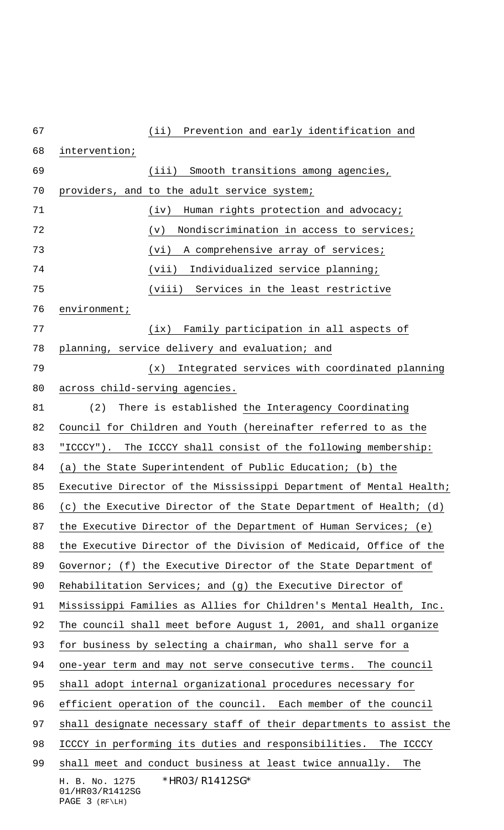| 67 | Prevention and early identification and<br>(iii)                      |
|----|-----------------------------------------------------------------------|
| 68 | intervention;                                                         |
| 69 | (iii)<br>Smooth transitions among agencies,                           |
| 70 | providers, and to the adult service system;                           |
| 71 | Human rights protection and advocacy;<br>(iv)                         |
| 72 | Nondiscrimination in access to services;<br>(v)                       |
| 73 | (vi)<br>A comprehensive array of services;                            |
| 74 | (vii)<br>Individualized service planning;                             |
| 75 | (viii) Services in the least restrictive                              |
| 76 | environment;                                                          |
| 77 | (ix)<br>Family participation in all aspects of                        |
| 78 | planning, service delivery and evaluation; and                        |
| 79 | Integrated services with coordinated planning<br>(x)                  |
| 80 | across child-serving agencies.                                        |
| 81 | (2)<br>There is established the Interagency Coordinating              |
| 82 | Council for Children and Youth (hereinafter referred to as the        |
| 83 | "ICCCY"). The ICCCY shall consist of the following membership:        |
| 84 | (a) the State Superintendent of Public Education; (b) the             |
| 85 | Executive Director of the Mississippi Department of Mental Health;    |
| 86 | (c) the Executive Director of the State Department of Health; (d)     |
| 87 | the Executive Director of the Department of Human Services; (e)       |
| 88 | the Executive Director of the Division of Medicaid, Office of the     |
| 89 | Governor; (f) the Executive Director of the State Department of       |
| 90 | Rehabilitation Services; and (g) the Executive Director of            |
| 91 | Mississippi Families as Allies for Children's Mental Health, Inc.     |
| 92 | The council shall meet before August 1, 2001, and shall organize      |
| 93 | for business by selecting a chairman, who shall serve for a           |
| 94 | one-year term and may not serve consecutive terms. The council        |
| 95 | shall adopt internal organizational procedures necessary for          |
| 96 | efficient operation of the council. Each member of the council        |
| 97 | shall designate necessary staff of their departments to assist the    |
| 98 | ICCCY in performing its duties and responsibilities. The ICCCY        |
| 99 | shall meet and conduct business at least twice annually.<br>The       |
|    | *HR03/R1412SG*<br>H. B. No. 1275<br>01/HR03/R1412SG<br>PAGE 3 (RF\LH) |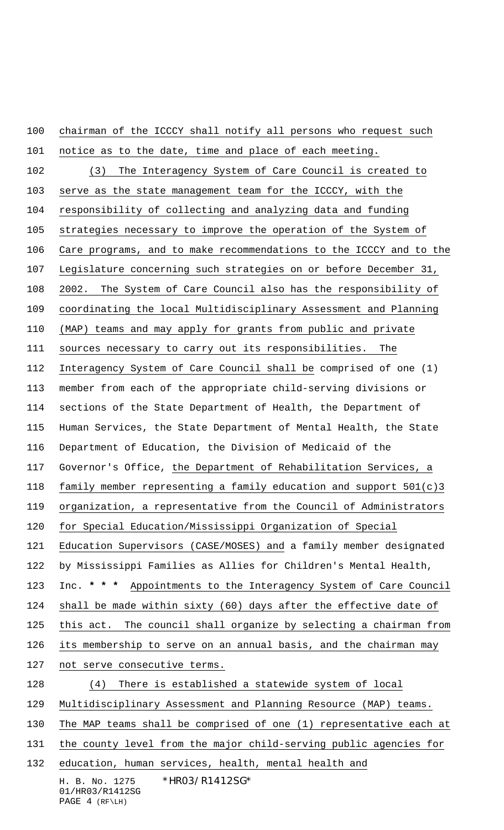chairman of the ICCCY shall notify all persons who request such

 notice as to the date, time and place of each meeting. (3) The Interagency System of Care Council is created to serve as the state management team for the ICCCY, with the responsibility of collecting and analyzing data and funding strategies necessary to improve the operation of the System of Care programs, and to make recommendations to the ICCCY and to the Legislature concerning such strategies on or before December 31, 2002. The System of Care Council also has the responsibility of coordinating the local Multidisciplinary Assessment and Planning (MAP) teams and may apply for grants from public and private sources necessary to carry out its responsibilities. The Interagency System of Care Council shall be comprised of one (1) member from each of the appropriate child-serving divisions or sections of the State Department of Health, the Department of Human Services, the State Department of Mental Health, the State Department of Education, the Division of Medicaid of the Governor's Office, the Department of Rehabilitation Services, a family member representing a family education and support 501(c)3 organization, a representative from the Council of Administrators for Special Education/Mississippi Organization of Special Education Supervisors (CASE/MOSES) and a family member designated by Mississippi Families as Allies for Children's Mental Health, Inc. **\* \* \*** Appointments to the Interagency System of Care Council shall be made within sixty (60) days after the effective date of this act. The council shall organize by selecting a chairman from its membership to serve on an annual basis, and the chairman may not serve consecutive terms. (4) There is established a statewide system of local Multidisciplinary Assessment and Planning Resource (MAP) teams. The MAP teams shall be comprised of one (1) representative each at 131 the county level from the major child-serving public agencies for education, human services, health, mental health and

H. B. No. 1275 \*HR03/R1412SG\* 01/HR03/R1412SG PAGE 4 (RF\LH)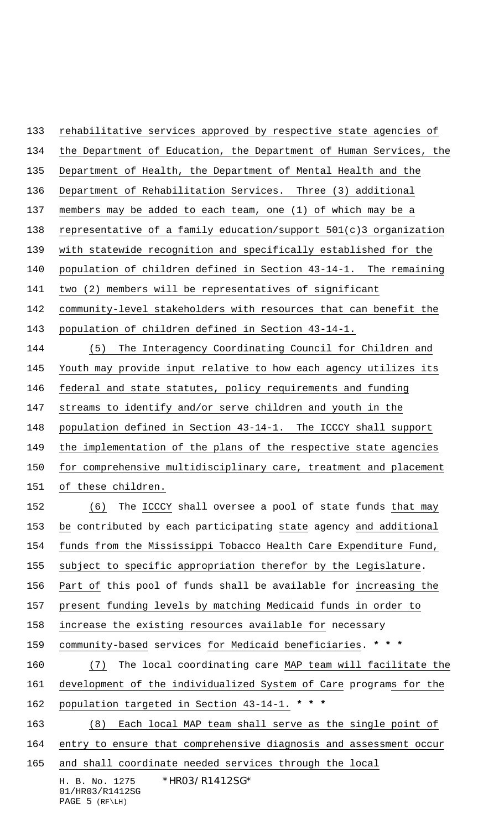rehabilitative services approved by respective state agencies of

the Department of Education, the Department of Human Services, the

Department of Health, the Department of Mental Health and the

Department of Rehabilitation Services. Three (3) additional

members may be added to each team, one (1) of which may be a

representative of a family education/support 501(c)3 organization

with statewide recognition and specifically established for the

population of children defined in Section 43-14-1. The remaining

two (2) members will be representatives of significant

community-level stakeholders with resources that can benefit the

population of children defined in Section 43-14-1.

 (5) The Interagency Coordinating Council for Children and Youth may provide input relative to how each agency utilizes its federal and state statutes, policy requirements and funding 147 streams to identify and/or serve children and youth in the population defined in Section 43-14-1. The ICCCY shall support the implementation of the plans of the respective state agencies 150 for comprehensive multidisciplinary care, treatment and placement of these children.

 (6) The ICCCY shall oversee a pool of state funds that may be contributed by each participating state agency and additional funds from the Mississippi Tobacco Health Care Expenditure Fund, subject to specific appropriation therefor by the Legislature. Part of this pool of funds shall be available for increasing the present funding levels by matching Medicaid funds in order to increase the existing resources available for necessary community-based services for Medicaid beneficiaries. **\* \* \***

 (7) The local coordinating care MAP team will facilitate the development of the individualized System of Care programs for the population targeted in Section 43-14-1. **\* \* \***

(8) Each local MAP team shall serve as the single point of

entry to ensure that comprehensive diagnosis and assessment occur

and shall coordinate needed services through the local

H. B. No. 1275 \*HR03/R1412SG\* 01/HR03/R1412SG PAGE 5 (RF\LH)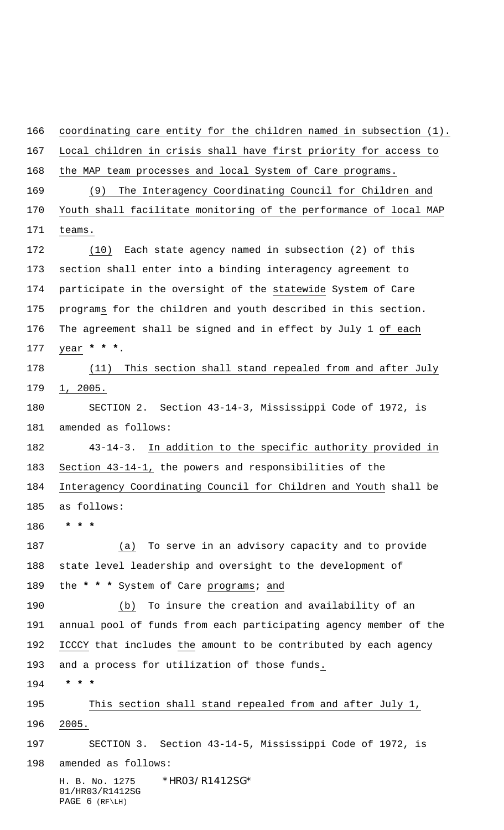H. B. No. 1275 \* HRO3/R1412SG\* 01/HR03/R1412SG coordinating care entity for the children named in subsection (1). Local children in crisis shall have first priority for access to the MAP team processes and local System of Care programs. (9) The Interagency Coordinating Council for Children and Youth shall facilitate monitoring of the performance of local MAP teams. (10) Each state agency named in subsection (2) of this section shall enter into a binding interagency agreement to participate in the oversight of the statewide System of Care programs for the children and youth described in this section. The agreement shall be signed and in effect by July 1 of each year **\* \* \***. (11) This section shall stand repealed from and after July 1, 2005. SECTION 2. Section 43-14-3, Mississippi Code of 1972, is amended as follows: 43-14-3. In addition to the specific authority provided in Section 43-14-1, the powers and responsibilities of the Interagency Coordinating Council for Children and Youth shall be as follows:  **\* \* \*** (a) To serve in an advisory capacity and to provide state level leadership and oversight to the development of the **\* \* \*** System of Care programs; and (b) To insure the creation and availability of an annual pool of funds from each participating agency member of the ICCCY that includes the amount to be contributed by each agency and a process for utilization of those funds.  **\* \* \*** This section shall stand repealed from and after July 1, 2005. SECTION 3. Section 43-14-5, Mississippi Code of 1972, is amended as follows:

PAGE 6 (RF\LH)